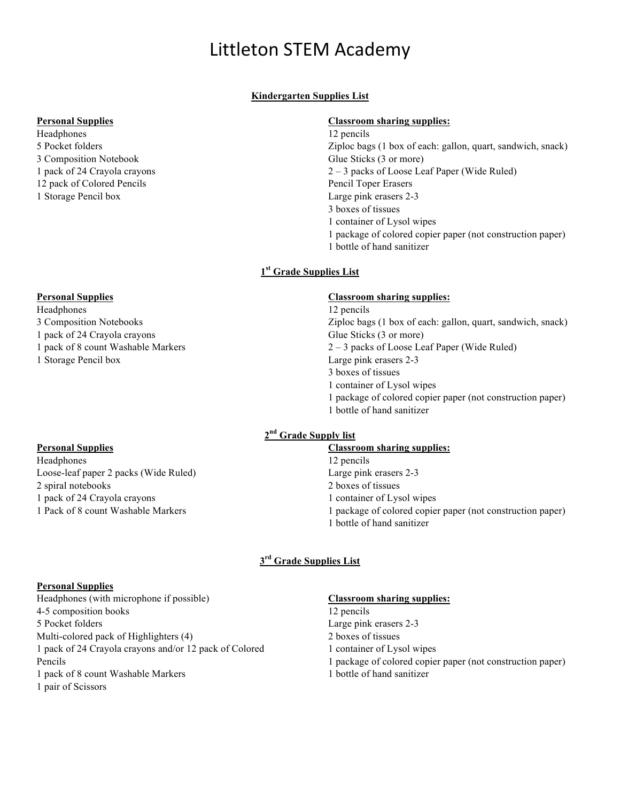# Littleton STEM Academy

# **Kindergarten Supplies List**

#### **Personal Supplies**

Headphones 5 Pocket folders 3 Composition Notebook 1 pack of 24 Crayola crayons 12 pack of Colored Pencils 1 Storage Pencil box

## **Personal Supplies**

# Headphones

- 3 Composition Notebooks
- 1 pack of 24 Crayola crayons
- 1 pack of 8 count Washable Markers
- 1 Storage Pencil box

#### **Personal Supplies**

Headphones Loose-leaf paper 2 packs (Wide Ruled) 2 spiral notebooks 1 pack of 24 Crayola crayons 1 Pack of 8 count Washable Markers

## **Classroom sharing supplies:**

- 12 pencils Ziploc bags (1 box of each: gallon, quart, sandwich, snack) Glue Sticks (3 or more) 2 – 3 packs of Loose Leaf Paper (Wide Ruled) Pencil Toper Erasers Large pink erasers 2-3 3 boxes of tissues 1 container of Lysol wipes 1 package of colored copier paper (not construction paper)
- 1 bottle of hand sanitizer

## **1st Grade Supplies List**

#### **Classroom sharing supplies:**

12 pencils Ziploc bags (1 box of each: gallon, quart, sandwich, snack) Glue Sticks (3 or more) 2 – 3 packs of Loose Leaf Paper (Wide Ruled) Large pink erasers 2-3 3 boxes of tissues 1 container of Lysol wipes 1 package of colored copier paper (not construction paper) 1 bottle of hand sanitizer

# **2nd Grade Supply list**

## **Classroom sharing supplies:**

- 12 pencils
- Large pink erasers 2-3
- 2 boxes of tissues
- 1 container of Lysol wipes
- 1 package of colored copier paper (not construction paper)
- 1 bottle of hand sanitizer

## **3rd Grade Supplies List**

#### **Personal Supplies**

Headphones (with microphone if possible) 4-5 composition books 5 Pocket folders Multi-colored pack of Highlighters (4) 1 pack of 24 Crayola crayons and/or 12 pack of Colored Pencils 1 pack of 8 count Washable Markers

1 pair of Scissors

#### **Classroom sharing supplies:**

- 12 pencils
- Large pink erasers 2-3
- 2 boxes of tissues
- 1 container of Lysol wipes
- 1 package of colored copier paper (not construction paper)
- 1 bottle of hand sanitizer